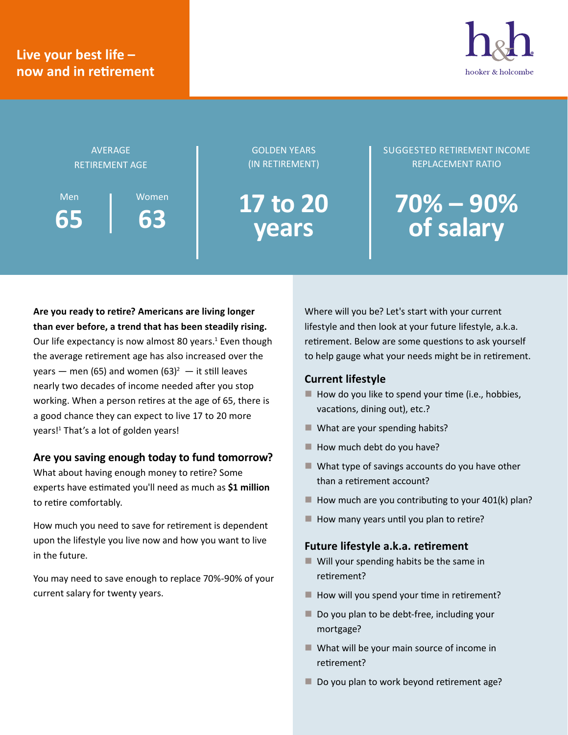## **Live your best life – now and in retirement**





**63**

GOLDEN YEARS (IN RETIREMENT)

**17 to 20 years**

#### SUGGESTED RETIREMENT INCOME REPLACEMENT RATIO

# **70% – 90% of salary**

**Are you ready to retire? Americans are living longer than ever before, a trend that has been steadily rising.**  Our life expectancy is now almost 80 years.<sup>1</sup> Even though the average retirement age has also increased over the years — men (65) and women (63)<sup>2</sup> — it still leaves nearly two decades of income needed after you stop working. When a person retires at the age of 65, there is a good chance they can expect to live 17 to 20 more years!<sup>1</sup> That's a lot of golden years!

#### **Are you saving enough today to fund tomorrow?**

What about having enough money to retire? Some experts have estimated you'll need as much as **\$1 million** to retire comfortably.

How much you need to save for retirement is dependent upon the lifestyle you live now and how you want to live in the future.

You may need to save enough to replace 70%-90% of your current salary for twenty years.

Where will you be? Let's start with your current lifestyle and then look at your future lifestyle, a.k.a. retirement. Below are some questions to ask yourself to help gauge what your needs might be in retirement.

#### **Current lifestyle**

- $\blacksquare$  How do you like to spend your time (i.e., hobbies, vacations, dining out), etc.?
- What are your spending habits?
- $\blacksquare$  How much debt do you have?
- What type of savings accounts do you have other than a retirement account?
- $\blacksquare$  How much are you contributing to your 401(k) plan?
- $\blacksquare$  How many years until you plan to retire?

#### **Future lifestyle a.k.a. retirement**

- $\blacksquare$  Will your spending habits be the same in retirement?
- $\blacksquare$  How will you spend your time in retirement?
- Do you plan to be debt-free, including your mortgage?
- $\blacksquare$  What will be your main source of income in retirement?
- Do you plan to work beyond retirement age?